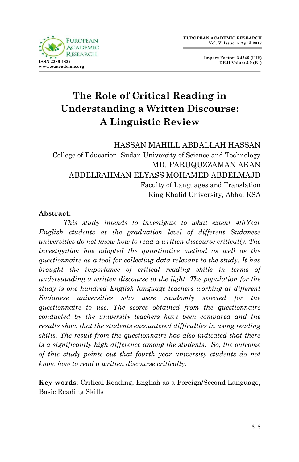

**Impact Factor: 3.4546 (UIF) DRJI Value: 5.9 (B+)**

# **The Role of Critical Reading in Understanding a Written Discourse: A Linguistic Review**

HASSAN MAHILL ABDALLAH HASSAN College of Education, Sudan University of Science and Technology MD. FARUQUZZAMAN AKAN ABDELRAHMAN ELYASS MOHAMED ABDELMAJD Faculty of Languages and Translation King Khalid University, Abha, KSA

#### **Abstract:**

*This study intends to investigate to what extent 4thYear English students at the graduation level of different Sudanese universities do not know how to read a written discourse critically. The investigation has adopted the quantitative method as well as the questionnaire as a tool for collecting data relevant to the study. It has brought the importance of critical reading skills in terms of understanding a written discourse to the light. The population for the study is one hundred English language teachers working at different Sudanese universities who were randomly selected for the questionnaire to use. The scores obtained from the questionnaire conducted by the university teachers have been compared and the results show that the students encountered difficulties in using reading skills. The result from the questionnaire has also indicated that there is a significantly high difference among the students. So, the outcome of this study points out that fourth year university students do not know how to read a written discourse critically.*

**Key words**: Critical Reading, English as a Foreign/Second Language, Basic Reading Skills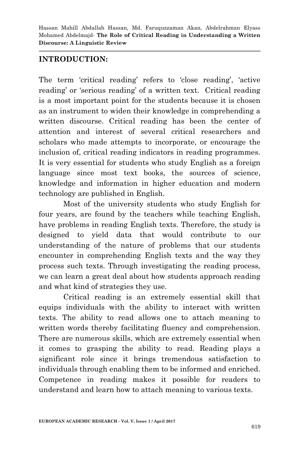## **INTRODUCTION:**

The term 'critical reading' refers to 'close reading', 'active reading' or 'serious reading' of a written text. Critical reading is a most important point for the students because it is chosen as an instrument to widen their knowledge in comprehending a written discourse. Critical reading has been the center of attention and interest of several critical researchers and scholars who made attempts to incorporate, or encourage the inclusion of, critical reading indicators in reading programmes. It is very essential for students who study English as a foreign language since most text books, the sources of science, knowledge and information in higher education and modern technology are published in English.

Most of the university students who study English for four years, are found by the teachers while teaching English, have problems in reading English texts. Therefore, the study is designed to yield data that would contribute to our understanding of the nature of problems that our students encounter in comprehending English texts and the way they process such texts. Through investigating the reading process, we can learn a great deal about how students approach reading and what kind of strategies they use.

Critical reading is an extremely essential skill that equips individuals with the ability to interact with written texts. The ability to read allows one to attach meaning to written words thereby facilitating fluency and comprehension. There are numerous skills, which are extremely essential when it comes to grasping the ability to read. Reading plays a significant role since it brings tremendous satisfaction to individuals through enabling them to be informed and enriched. Competence in reading makes it possible for readers to understand and learn how to attach meaning to various texts.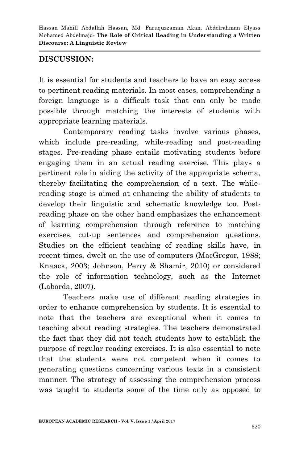## **DISCUSSION:**

It is essential for students and teachers to have an easy access to pertinent reading materials. In most cases, comprehending a foreign language is a difficult task that can only be made possible through matching the interests of students with appropriate learning materials.

Contemporary reading tasks involve various phases, which include pre-reading, while-reading and post-reading stages. Pre-reading phase entails motivating students before engaging them in an actual reading exercise. This plays a pertinent role in aiding the activity of the appropriate schema, thereby facilitating the comprehension of a text. The whilereading stage is aimed at enhancing the ability of students to develop their linguistic and schematic knowledge too. Postreading phase on the other hand emphasizes the enhancement of learning comprehension through reference to matching exercises, cut-up sentences and comprehension questions. Studies on the efficient teaching of reading skills have, in recent times, dwelt on the use of computers (MacGregor, 1988; Knaack, 2003; Johnson, Perry & Shamir, 2010) or considered the role of information technology, such as the Internet (Laborda, 2007).

Teachers make use of different reading strategies in order to enhance comprehension by students. It is essential to note that the teachers are exceptional when it comes to teaching about reading strategies. The teachers demonstrated the fact that they did not teach students how to establish the purpose of regular reading exercises. It is also essential to note that the students were not competent when it comes to generating questions concerning various texts in a consistent manner. The strategy of assessing the comprehension process was taught to students some of the time only as opposed to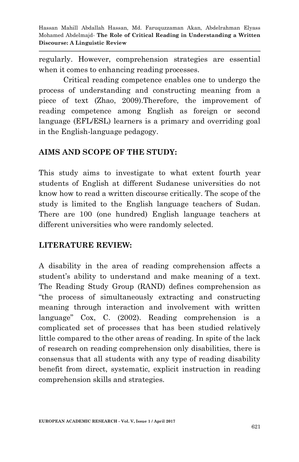regularly. However, comprehension strategies are essential when it comes to enhancing reading processes.

Critical reading competence enables one to undergo the process of understanding and constructing meaning from a piece of text (Zhao, 2009).Therefore, the improvement of reading competence among English as foreign or second language (EFL/ESL) learners is a primary and overriding goal in the English-language pedagogy.

# **AIMS AND SCOPE OF THE STUDY:**

This study aims to investigate to what extent fourth year students of English at different Sudanese universities do not know how to read a written discourse critically. The scope of the study is limited to the English language teachers of Sudan. There are 100 (one hundred) English language teachers at different universities who were randomly selected.

## **LITERATURE REVIEW:**

A disability in the area of reading comprehension affects a student's ability to understand and make meaning of a text. The Reading Study Group (RAND) defines comprehension as "the process of simultaneously extracting and constructing meaning through interaction and involvement with written language" Cox, C. (2002). Reading comprehension is a complicated set of processes that has been studied relatively little compared to the other areas of reading. In spite of the lack of research on reading comprehension only disabilities, there is consensus that all students with any type of reading disability benefit from direct, systematic, explicit instruction in reading comprehension skills and strategies.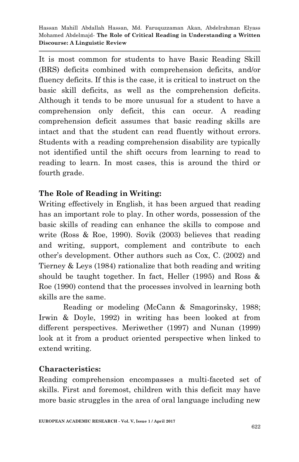It is most common for students to have Basic Reading Skill (BRS) deficits combined with comprehension deficits, and/or fluency deficits. If this is the case, it is critical to instruct on the basic skill deficits, as well as the comprehension deficits. Although it tends to be more unusual for a student to have a comprehension only deficit, this can occur. A reading comprehension deficit assumes that basic reading skills are intact and that the student can read fluently without errors. Students with a reading comprehension disability are typically not identified until the shift occurs from learning to read to reading to learn. In most cases, this is around the third or fourth grade.

# **The Role of Reading in Writing:**

Writing effectively in English, it has been argued that reading has an important role to play. In other words, possession of the basic skills of reading can enhance the skills to compose and write (Ross & Roe, 1990). Sovik (2003) believes that reading and writing, support, complement and contribute to each other"s development. Other authors such as Cox, C. (2002) and Tierney & Leys (1984) rationalize that both reading and writing should be taught together. In fact, Heller (1995) and Ross & Roe (1990) contend that the processes involved in learning both skills are the same.

Reading or modeling (McCann & Smagorinsky, 1988; Irwin & Doyle, 1992) in writing has been looked at from different perspectives. Meriwether (1997) and Nunan (1999) look at it from a product oriented perspective when linked to extend writing.

## **Characteristics:**

Reading comprehension encompasses a multi-faceted set of skills. First and foremost, children with this deficit may have more basic struggles in the area of oral language including new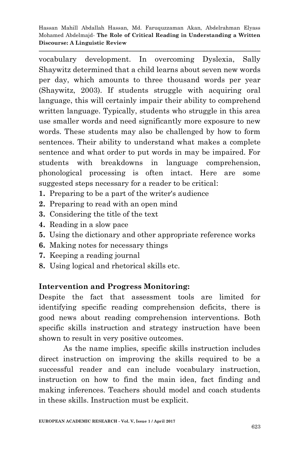vocabulary development. In overcoming Dyslexia, Sally Shaywitz determined that a child learns about seven new words per day, which amounts to three thousand words per year (Shaywitz, 2003). If students struggle with acquiring oral language, this will certainly impair their ability to comprehend written language. Typically, students who struggle in this area use smaller words and need significantly more exposure to new words. These students may also be challenged by how to form sentences. Their ability to understand what makes a complete sentence and what order to put words in may be impaired. For students with breakdowns in language comprehension, phonological processing is often intact. Here are some suggested steps necessary for a reader to be critical:

- **1.** Preparing to be a part of the writer's audience
- **2.** Preparing to read with an open mind
- **3.** Considering the title of the text
- **4.** Reading in a slow pace
- **5.** Using the dictionary and other appropriate reference works
- **6.** Making notes for necessary things
- **7.** Keeping a reading journal
- **8.** Using logical and rhetorical skills etc.

## **Intervention and Progress Monitoring:**

Despite the fact that assessment tools are limited for identifying specific reading comprehension deficits, there is good news about reading comprehension interventions. Both specific skills instruction and strategy instruction have been shown to result in very positive outcomes.

As the name implies, specific skills instruction includes direct instruction on improving the skills required to be a successful reader and can include vocabulary instruction, instruction on how to find the main idea, fact finding and making inferences. Teachers should model and coach students in these skills. Instruction must be explicit.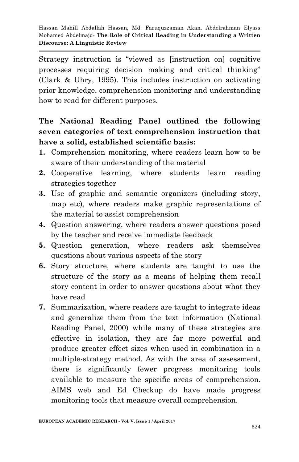Strategy instruction is "viewed as [instruction on] cognitive processes requiring decision making and critical thinking" (Clark & Uhry, 1995). This includes instruction on activating prior knowledge, comprehension monitoring and understanding how to read for different purposes.

# **The National Reading Panel outlined the following seven categories of text comprehension instruction that have a solid, established scientific basis:**

- **1.** Comprehension monitoring, where readers learn how to be aware of their understanding of the material
- **2.** Cooperative learning, where students learn reading strategies together
- **3.** Use of graphic and semantic organizers (including story, map etc), where readers make graphic representations of the material to assist comprehension
- **4.** Question answering, where readers answer questions posed by the teacher and receive immediate feedback
- **5.** Question generation, where readers ask themselves questions about various aspects of the story
- **6.** Story structure, where students are taught to use the structure of the story as a means of helping them recall story content in order to answer questions about what they have read
- **7.** Summarization, where readers are taught to integrate ideas and generalize them from the text information (National Reading Panel, 2000) while many of these strategies are effective in isolation, they are far more powerful and produce greater effect sizes when used in combination in a multiple-strategy method. As with the area of assessment, there is significantly fewer progress monitoring tools available to measure the specific areas of comprehension. AIMS web and Ed Checkup do have made progress monitoring tools that measure overall comprehension.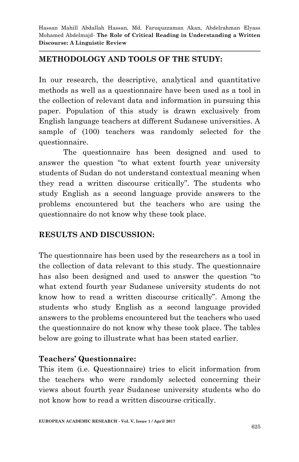## **METHODOLOGY AND TOOLS OF THE STUDY:**

In our research, the descriptive, analytical and quantitative methods as well as a questionnaire have been used as a tool in the collection of relevant data and information in pursuing this paper. Population of this study is drawn exclusively from English language teachers at different Sudanese universities. A sample of (100) teachers was randomly selected for the questionnaire.

The questionnaire has been designed and used to answer the question "to what extent fourth year university students of Sudan do not understand contextual meaning when they read a written discourse critically". The students who study English as a second language provide answers to the problems encountered but the teachers who are using the questionnaire do not know why these took place.

#### **RESULTS AND DISCUSSION:**

The questionnaire has been used by the researchers as a tool in the collection of data relevant to this study. The questionnaire has also been designed and used to answer the question "to what extend fourth year Sudanese university students do not know how to read a written discourse critically". Among the students who study English as a second language provided answers to the problems encountered but the teachers who used the questionnaire do not know why these took place. The tables below are going to illustrate what has been stated earlier.

## **Teachers' Questionnaire:**

This item (i.e. Questionnaire) tries to elicit information from the teachers who were randomly selected concerning their views about fourth year Sudanese university students who do not know how to read a written discourse critically.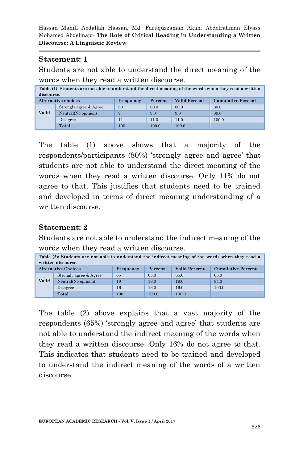#### **Statement: 1**

Students are not able to understand the direct meaning of the words when they read a written discourse.

| Table (1): Students are not able to understand the direct meaning of the words when they read a written<br>discourse. |                        |     |       |       |       |  |
|-----------------------------------------------------------------------------------------------------------------------|------------------------|-----|-------|-------|-------|--|
| <b>Alternative choices</b><br>Valid Percent<br><b>Cumulative Percent</b><br>Percent<br>Frequency                      |                        |     |       |       |       |  |
| Valid                                                                                                                 | Strongly agree & Agree | 80  | 80.0  | 80.0  | 80.0  |  |
|                                                                                                                       | Neutral(No opinion)    | 9   | 9.0   | 9.0   | 89.0  |  |
|                                                                                                                       | Disagree               | 11  | 11.0  | 11.0  | 100.0 |  |
|                                                                                                                       | Total                  | 100 | 100.0 | 100.0 |       |  |

The table (1) above shows that a majority of the respondents/participants (80%) 'strongly agree and agree' that students are not able to understand the direct meaning of the words when they read a written discourse. Only 11% do not agree to that. This justifies that students need to be trained and developed in terms of direct meaning understanding of a written discourse.

#### **Statement: 2**

Students are not able to understand the indirect meaning of the words when they read a written discourse.

| Table (2): Students are not able to understand the indirect meaning of the words when they read a<br>written discourse. |                        |           |         |                      |                           |  |
|-------------------------------------------------------------------------------------------------------------------------|------------------------|-----------|---------|----------------------|---------------------------|--|
| <b>Alternative Choices</b>                                                                                              |                        | Frequency | Percent | <b>Valid Percent</b> | <b>Cumulative Percent</b> |  |
| Valid                                                                                                                   | Strongly agree & Agree | 65        | 65.0    | 65.0                 | 65.0                      |  |
|                                                                                                                         | Neutral(No opinion)    | 19        | 19.0    | 19.0                 | 84.0                      |  |
|                                                                                                                         | Disagree               | 16        | 16.0    | 16.0                 | 100.0                     |  |
|                                                                                                                         | Total                  | 100       | 100.0   | 100.0                |                           |  |

The table (2) above explains that a vast majority of the respondents (65%) "strongly agree and agree" that students are not able to understand the indirect meaning of the words when they read a written discourse. Only 16% do not agree to that. This indicates that students need to be trained and developed to understand the indirect meaning of the words of a written discourse.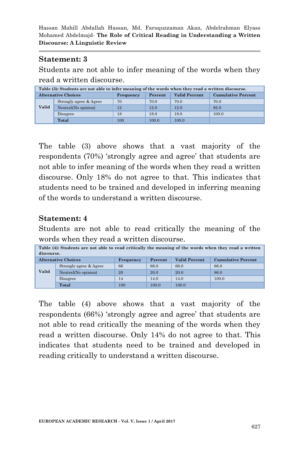#### **Statement: 3**

Students are not able to infer meaning of the words when they read a written discourse.

| Table (3): Students are not able to infer meaning of the words when they read a written discourse. |                        |           |         |                      |                           |  |
|----------------------------------------------------------------------------------------------------|------------------------|-----------|---------|----------------------|---------------------------|--|
| <b>Alternative Choices</b>                                                                         |                        | Frequency | Percent | <b>Valid Percent</b> | <b>Cumulative Percent</b> |  |
| Valid                                                                                              | Strongly agree & Agree | 70        | 70.0    | 70.0                 | 70.0                      |  |
|                                                                                                    | Neutral(No opinion)    | 12        | 12.0    | 12.0                 | 82.0                      |  |
|                                                                                                    | Disagree               | 18        | 18.0    | 18.0                 | 100.0                     |  |
|                                                                                                    | Total                  | $100\,$   | 100.0   | 100.0                |                           |  |

The table (3) above shows that a vast majority of the respondents (70%) "strongly agree and agree" that students are not able to infer meaning of the words when they read a written discourse. Only 18% do not agree to that. This indicates that students need to be trained and developed in inferring meaning of the words to understand a written discourse.

#### **Statement: 4**

Students are not able to read critically the meaning of the words when they read a written discourse.

| Table (4): Students are not able to read critically the meaning of the words when they read a written<br>discourse. |                            |           |         |                      |                           |
|---------------------------------------------------------------------------------------------------------------------|----------------------------|-----------|---------|----------------------|---------------------------|
|                                                                                                                     | <b>Alternative Choices</b> | Frequency | Percent | <b>Valid Percent</b> | <b>Cumulative Percent</b> |
| Valid                                                                                                               | Strongly agree & Agree     | 66        | 66.0    | 66.0                 | 66.0                      |
|                                                                                                                     | Neutral(No opinion)        | 20        | 20.0    | 20.0                 | 86.0                      |
|                                                                                                                     | Disagree                   | 14        | 14.0    | 14.0                 | 100.0                     |
|                                                                                                                     | Total                      | $100\,$   | 100.0   | 100.0                |                           |

The table (4) above shows that a vast majority of the respondents (66%) 'strongly agree and agree' that students are not able to read critically the meaning of the words when they read a written discourse. Only 14% do not agree to that. This indicates that students need to be trained and developed in reading critically to understand a written discourse.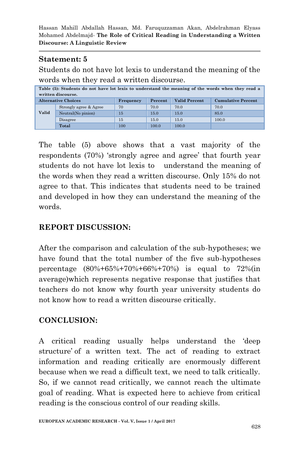## **Statement: 5**

Students do not have lot lexis to understand the meaning of the words when they read a written discourse.

| Table (5): Students do not have lot lexis to understand the meaning of the words when they read a<br>written discourse. |                            |           |         |               |                           |  |
|-------------------------------------------------------------------------------------------------------------------------|----------------------------|-----------|---------|---------------|---------------------------|--|
|                                                                                                                         | <b>Alternative Choices</b> | Frequency | Percent | Valid Percent | <b>Cumulative Percent</b> |  |
| Valid                                                                                                                   | Strongly agree & Agree     | 70        | 70.0    | 70.0          | 70.0                      |  |
|                                                                                                                         | Neutral(No pinion)         | 15        | 15.0    | 15.0          | 85.0                      |  |
|                                                                                                                         | Disagree                   | 15        | 15.0    | 15.0          | 100.0                     |  |
|                                                                                                                         | Total                      | 100       | 100.0   | 100.0         |                           |  |

The table (5) above shows that a vast majority of the respondents (70%) 'strongly agree and agree' that fourth year students do not have lot lexis to understand the meaning of the words when they read a written discourse. Only 15% do not agree to that. This indicates that students need to be trained and developed in how they can understand the meaning of the words.

# **REPORT DISCUSSION:**

After the comparison and calculation of the sub-hypotheses; we have found that the total number of the five sub-hypotheses percentage (80%+65%+70%+66%+70%) is equal to 72%(in average)which represents negative response that justifies that teachers do not know why fourth year university students do not know how to read a written discourse critically.

## **CONCLUSION:**

A critical reading usually helps understand the "deep structure of a written text. The act of reading to extract information and reading critically are enormously different because when we read a difficult text, we need to talk critically. So, if we cannot read critically, we cannot reach the ultimate goal of reading. What is expected here to achieve from critical reading is the conscious control of our reading skills.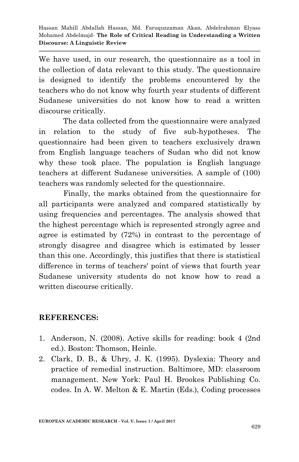We have used, in our research, the questionnaire as a tool in the collection of data relevant to this study. The questionnaire is designed to identify the problems encountered by the teachers who do not know why fourth year students of different Sudanese universities do not know how to read a written discourse critically.

The data collected from the questionnaire were analyzed in relation to the study of five sub-hypotheses. The questionnaire had been given to teachers exclusively drawn from English language teachers of Sudan who did not know why these took place. The population is English language teachers at different Sudanese universities. A sample of (100) teachers was randomly selected for the questionnaire.

Finally, the marks obtained from the questionnaire for all participants were analyzed and compared statistically by using frequencies and percentages. The analysis showed that the highest percentage which is represented strongly agree and agree is estimated by (72%) in contrast to the percentage of strongly disagree and disagree which is estimated by lesser than this one. Accordingly, this justifies that there is statistical difference in terms of teachers' point of views that fourth year Sudanese university students do not know how to read a written discourse critically.

# **REFERENCES:**

- 1. Anderson, N. (2008). Active skills for reading: book 4 (2nd ed.). Boston: Thomson, Heinle.
- 2. Clark, D. B., & Uhry, J. K. (1995). Dyslexia: Theory and practice of remedial instruction. Baltimore, MD: classroom management. New York: Paul H. Brookes Publishing Co. codes. In A. W. Melton & E. Martin (Eds.), Coding processes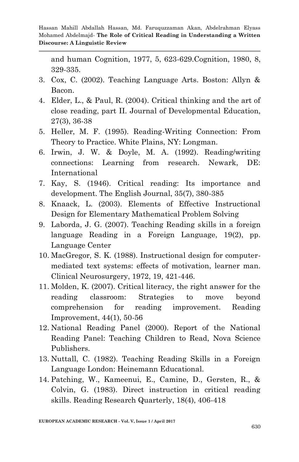and human Cognition, 1977, 5, 623-629.Cognition, 1980, 8, 329-335.

- 3. Cox, C. (2002). Teaching Language Arts. Boston: Allyn & Bacon.
- 4. Elder, L., & Paul, R. (2004). Critical thinking and the art of close reading, part II. Journal of Developmental Education, 27(3), 36-38
- 5. Heller, M. F. (1995). Reading-Writing Connection: From Theory to Practice. White Plains, NY: Longman.
- 6. Irwin, J. W. & Doyle, M. A. (1992). Reading/writing connections: Learning from research. Newark, DE: International
- 7. Kay, S. (1946). Critical reading: Its importance and development. The English Journal, 35(7), 380-385
- 8. Knaack, L. (2003). Elements of Effective Instructional Design for Elementary Mathematical Problem Solving
- 9. Laborda, J. G. (2007). Teaching Reading skills in a foreign language Reading in a Foreign Language, 19(2), pp. Language Center
- 10. MacGregor, S. K. (1988). Instructional design for computermediated text systems: effects of motivation, learner man. Clinical Neurosurgery, 1972, 19, 421-446.
- 11. Molden, K. (2007). Critical literacy, the right answer for the reading classroom: Strategies to move beyond comprehension for reading improvement. Reading Improvement, 44(1), 50-56
- 12. National Reading Panel (2000). Report of the National Reading Panel: Teaching Children to Read, Nova Science Publishers.
- 13. Nuttall, C. (1982). Teaching Reading Skills in a Foreign Language London: Heinemann Educational.
- 14. Patching, W., Kameenui, E., Camine, D., Gersten, R., & Colvin, G. (1983). Direct instruction in critical reading skills. Reading Research Quarterly, 18(4), 406-418